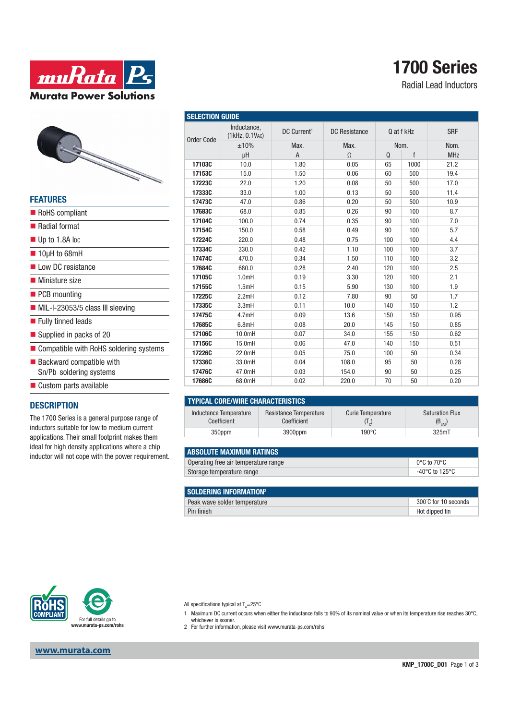



| <b>FEATURES</b>                                                    |
|--------------------------------------------------------------------|
| RoHS compliant                                                     |
| <b>Radial format</b>                                               |
| $\blacksquare$ Up to 1.8A loc                                      |
| $\blacksquare$ 10µH to 68mH                                        |
| Low DC resistance                                                  |
| ■ Miniature size                                                   |
| $\blacksquare$ PCB mounting                                        |
| $\blacksquare$ MIL-I-23053/5 class III sleeving                    |
| Fully tinned leads                                                 |
| Supplied in packs of 20                                            |
| ■ Compatible with RoHS soldering systems                           |
| $\blacksquare$ Backward compatible with<br>Sn/Pb soldering systems |
| Custom parts available                                             |

#### **DESCRIPTION**

The 1700 Series is a general purpose range of inductors suitable for low to medium current applications. Their small footprint makes them ideal for high density applications where a chip inductor will not cope with the power requirement.

|                   | Inductance,<br>(1kHz, 0.1VAC) | DC Current <sup>1</sup> | <b>DC</b> Resistance | Q at f kHz<br>Nom. |      | <b>SRF</b> |
|-------------------|-------------------------------|-------------------------|----------------------|--------------------|------|------------|
| <b>Order Code</b> | ±10%                          | Max.                    | Max.                 |                    |      | Nom.       |
|                   | μH                            | A                       | $\Omega$             | Q                  | f    | <b>MHz</b> |
| 17103C            | 10.0                          | 1.80                    | 0.05                 | 65                 | 1000 | 21.2       |
| 17153C            | 15.0                          | 1.50                    | 0.06                 | 60                 | 500  | 19.4       |
| 17223C            | 22.0                          | 1.20                    | 0.08                 | 50                 | 500  | 17.0       |
| 17333C            | 33.0                          | 1.00                    | 0.13                 | 50                 | 500  | 11.4       |
| 17473C            | 47.0                          | 0.86                    | 0.20                 | 50                 | 500  | 10.9       |
| 17683C            | 68.0                          | 0.85                    | 0.26                 | 90                 | 100  | 8.7        |
| 17104C            | 100.0                         | 0.74                    | 0.35                 | 90                 | 100  | 7.0        |
| 17154C            | 150.0                         | 0.58                    | 0.49                 | 90                 | 100  | 5.7        |
| 17224C            | 220.0                         | 0.48                    | 0.75                 | 100                | 100  | 4.4        |
| 17334C            | 330.0                         | 0.42                    | 1.10                 | 100                | 100  | 3.7        |
| 17474C            | 470.0                         | 0.34                    | 1.50                 | 110                | 100  | 3.2        |
| 17684C            | 680.0                         | 0.28                    | 2.40                 | 120                | 100  | 2.5        |
| 17105C            | 1.0mH                         | 0.19                    | 3.30                 | 120                | 100  | 2.1        |
| 17155C            | 1.5mH                         | 0.15                    | 5.90                 | 130                | 100  | 1.9        |
| 17225C            | 2.2mH                         | 0.12                    | 7.80                 | 90                 | 50   | 1.7        |
| 17335C            | 3.3mH                         | 0.11                    | 10.0                 | 140                | 150  | 1.2        |
| 17475C            | 4.7mH                         | 0.09                    | 13.6                 | 150                | 150  | 0.95       |
| 17685C            | 6.8mH                         | 0.08                    | 20.0                 | 145                | 150  | 0.85       |
| 17106C            | 10.0mH                        | 0.07                    | 34.0                 | 155                | 150  | 0.62       |
| 17156C            | 15.0mH                        | 0.06                    | 47.0                 | 140                | 150  | 0.51       |
| 17226C            | 22.0mH                        | 0.05                    | 75.0                 | 100                | 50   | 0.34       |
| 17336C            | 33.0mH                        | 0.04                    | 108.0                | 95                 | 50   | 0.28       |
| 17476C            | 47.0mH                        | 0.03                    | 154.0                | 90                 | 50   | 0.25       |
| 17686C            | 68.0mH                        | 0.02                    | 220.0                | 70                 | 50   | 0.20       |

#### **TYPICAL CORE/WIRE CHARACTERISTICS**

| <u>LII IVAL VUIILI MIIIL VIIAILAVILIIIVI IVV</u> |        |                                       |                   |                                       |  |  |  |  |  |
|--------------------------------------------------|--------|---------------------------------------|-------------------|---------------------------------------|--|--|--|--|--|
| Inductance Temperature<br>Coefficient            |        | Resistance Temperature<br>Coefficient | Curie Temperature | <b>Saturation Flux</b><br>$(B_{cat})$ |  |  |  |  |  |
|                                                  | 350ppm | 3900ppm                               | 190°C             | 325mT                                 |  |  |  |  |  |

| <b>LABSOLUTE MAXIMUM RATINGS</b>     |                                  |
|--------------------------------------|----------------------------------|
| Operating free air temperature range | $0^{\circ}$ C to 70 $^{\circ}$ C |
| Storage temperature range            | -40°C to 125°C                   |
|                                      |                                  |

| SOLDERING INFORMATION <sup>2</sup> |                      |
|------------------------------------|----------------------|
| Peak wave solder temperature       | 300°C for 10 seconds |
| Pin finish                         | Hot dipped tin       |



**www.murata.com**

All specifications typical at T<sub>A</sub>=25°C

- 1 Maximum DC current occurs when either the inductance falls to 90% of its nominal value or when its temperature rise reaches 30°C,
- whichever is sooner. 2 For further information, please visit www.murata-ps.com/rohs

## **1700 Series**

Radial Lead Inductors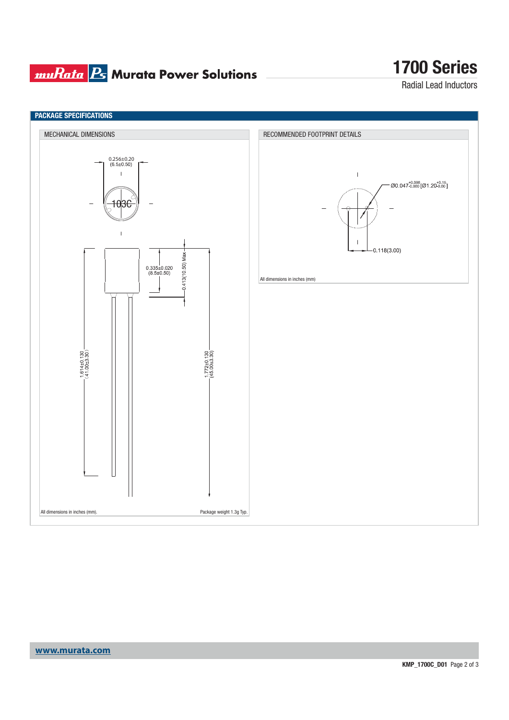## **muRata B** Murata Power Solutions

# **1700 Series**

Radial Lead Inductors